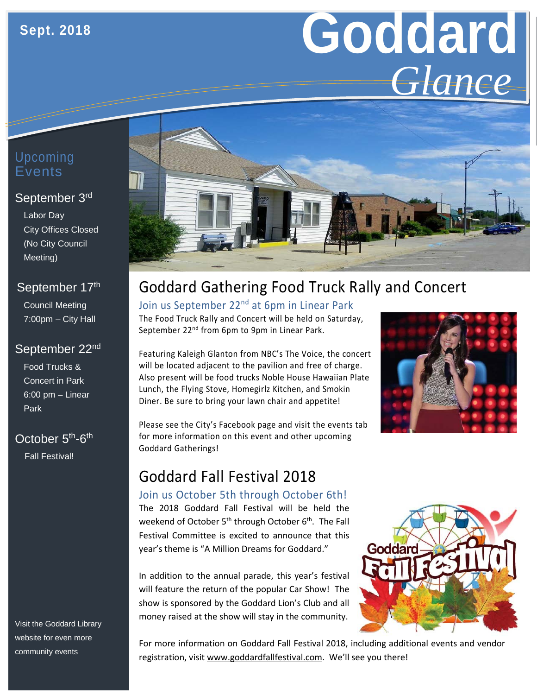# **Goddard** *Glance*

#### Upcoming Events

#### September 3rd

Labor Day City Offices Closed (No City Council Meeting)

#### September 17th

Council Meeting 7:00pm – City Hall

#### September 22nd

Food Trucks & Concert in Park 6:00 pm – Linear Park

#### October 5<sup>th</sup>-6<sup>th</sup>

Fall Festival!

Visit the Goddard Library website for even more community events



# Goddard Gathering Food Truck Rally and Concert

# Join us September 22<sup>nd</sup> at 6pm in Linear Park

The Food Truck Rally and Concert will be held on Saturday, September 22<sup>nd</sup> from 6pm to 9pm in Linear Park.

Featuring Kaleigh Glanton from NBC's The Voice, the concert will be located adjacent to the pavilion and free of charge. Also present will be food trucks Noble House Hawaiian Plate Lunch, the Flying Stove, Homegirlz Kitchen, and Smokin Diner. Be sure to bring your lawn chair and appetite!

Please see the City's Facebook page and visit the events tab for more information on this event and other upcoming Goddard Gatherings!



### Goddard Fall Festival 2018

#### Join us October 5th through October 6th!

The 2018 Goddard Fall Festival will be held the weekend of October 5<sup>th</sup> through October 6<sup>th</sup>. The Fall Festival Committee is excited to announce that this year's theme is "A Million Dreams for Goddard."

In addition to the annual parade, this year's festival will feature the return of the popular Car Show! The show is sponsored by the Goddard Lion's Club and all money raised at the show will stay in the community.



For more information on Goddard Fall Festival 2018, including additional events and vendor registration, visit [www.goddardfallfestival.com.](http://www.goddardfallfestival.com/) We'll see you there!